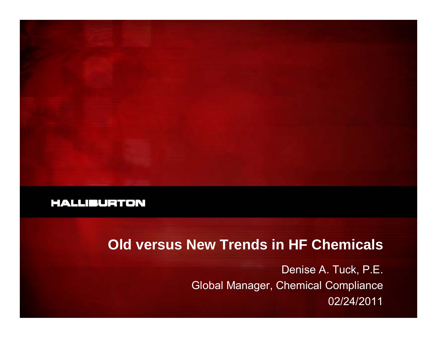

## **Old versus New Trends in HF Chemicals**

Denise A. Tuck, P.E. Global Manager, Chemical Compliance 02/24/2011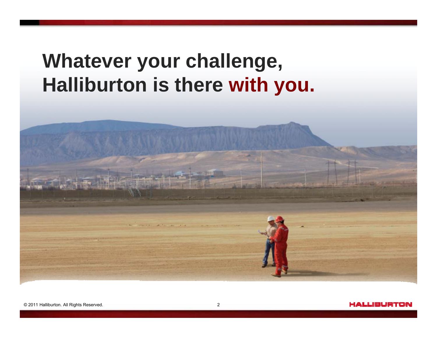# **Whatever your challenge, Halliburton is there with you.**

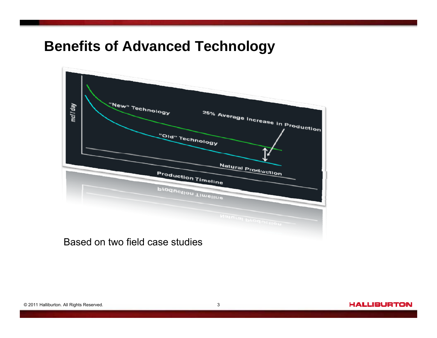## **Benefits of Advanced Technology**



Based on two field case studies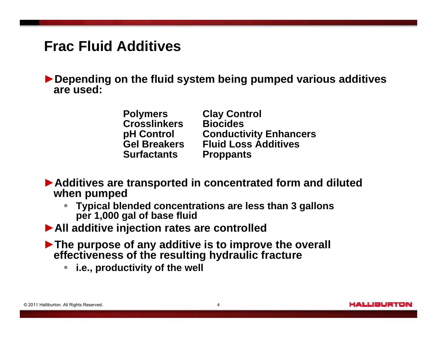#### **Frac Fluid Additives**

►**Depending on the fluid system being pumped various additives are used:** 

| <b>Polymers</b>     | <b>Clay Control</b>           |
|---------------------|-------------------------------|
| <b>Crosslinkers</b> | <b>Biocides</b>               |
| pH Control          | <b>Conductivity Enhancers</b> |
| <b>Gel Breakers</b> | <b>Fluid Loss Additives</b>   |
| <b>Surfactants</b>  | <b>Proppants</b>              |

►**Additives are transported in concentrated form and diluted**  when pumped

a. **Typical blended concentrations are less than 3 gallons per 1,000 gal of base fluid** 

►**All additive injection rates are controlled**

►**The purpose of any additive is to improve the overall effectiveness of the resulting hydraulic fracture**

**i.e., productivity of the well**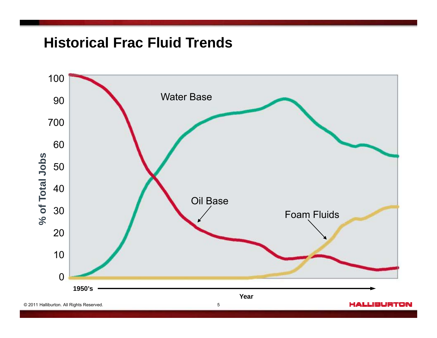## **Historical Frac Fluid Trends**

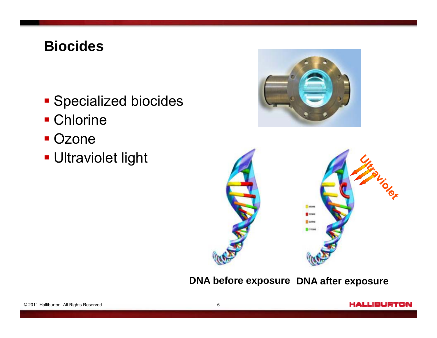## **Biocides**

- **Specialized biocides**
- Chlorine
- Ozone
- Ultraviolet light





**DNA before exposure DNA after exposure**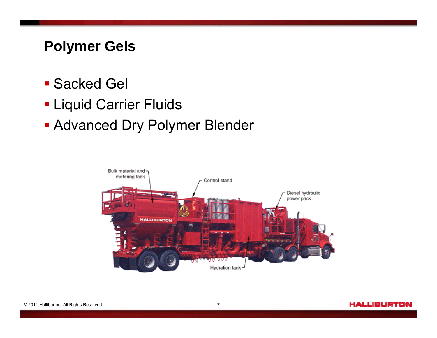## **Polymer Gels**

- Sacked Gel
- **Liquid Carrier Fluids**
- Advanced Dry Polymer Blender

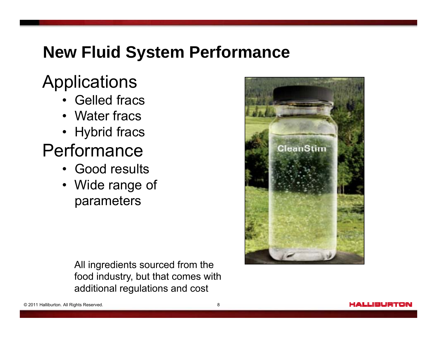## **New Fluid System Performance**

# Applications

- Gelled fracs
- Water fracs
- Hybrid fracs

## Performance

- Good results
- Wide range of parameters

All ingredients sourced from the food industry, but that comes with additional regulations and cost

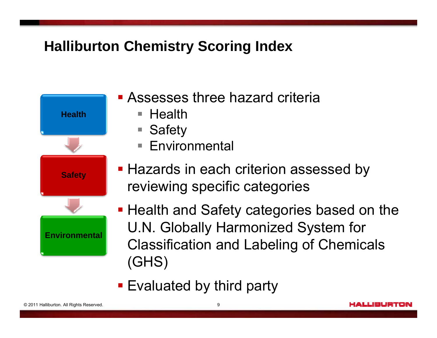## **Halliburton Chemistry Scoring Index**



- **Exaggeria Assesses three hazard criteria** 
	- $\blacksquare$  Health
	- $\mathcal{L}_{\mathcal{A}}$ **Safety**
	- **Environmental**
- Hazards in each criterion assessed by reviewing specific categories

**Health and Safety categories based on the** U.N. Globally Harmonized System for Classification and Labeling of Chemicals (GHS)

**Evaluated by third party**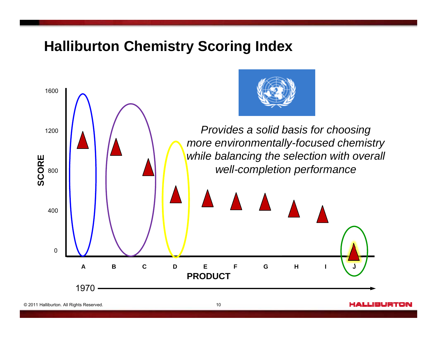#### **Halliburton Chemistry Scoring Index**



HALLIBURTON